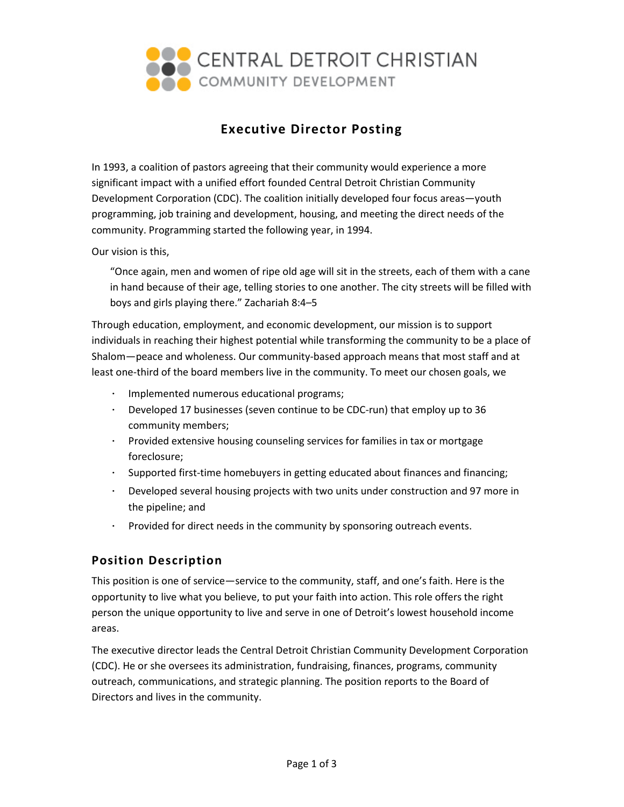

# **Executive Director Posting**

In 1993, a coalition of pastors agreeing that their community would experience a more significant impact with a unified effort founded Central Detroit Christian Community Development Corporation (CDC). The coalition initially developed four focus areas—youth programming, job training and development, housing, and meeting the direct needs of the community. Programming started the following year, in 1994.

Our vision is this,

"Once again, men and women of ripe old age will sit in the streets, each of them with a cane in hand because of their age, telling stories to one another. The city streets will be filled with boys and girls playing there." Zachariah 8:4–5

Through education, employment, and economic development, our mission is to support individuals in reaching their highest potential while transforming the community to be a place of Shalom—peace and wholeness. Our community-based approach means that most staff and at least one-third of the board members live in the community. To meet our chosen goals, we

- ∙ Implemented numerous educational programs;
- ∙ Developed 17 businesses (seven continue to be CDC-run) that employ up to 36 community members;
- ∙ Provided extensive housing counseling services for families in tax or mortgage foreclosure;
- ∙ Supported first-time homebuyers in getting educated about finances and financing;
- ∙ Developed several housing projects with two units under construction and 97 more in the pipeline; and
- ∙ Provided for direct needs in the community by sponsoring outreach events.

# **Position Description**

This position is one of service—service to the community, staff, and one's faith. Here is the opportunity to live what you believe, to put your faith into action. This role offers the right person the unique opportunity to live and serve in one of Detroit's lowest household income areas.

The executive director leads the Central Detroit Christian Community Development Corporation (CDC). He or she oversees its administration, fundraising, finances, programs, community outreach, communications, and strategic planning. The position reports to the Board of Directors and lives in the community.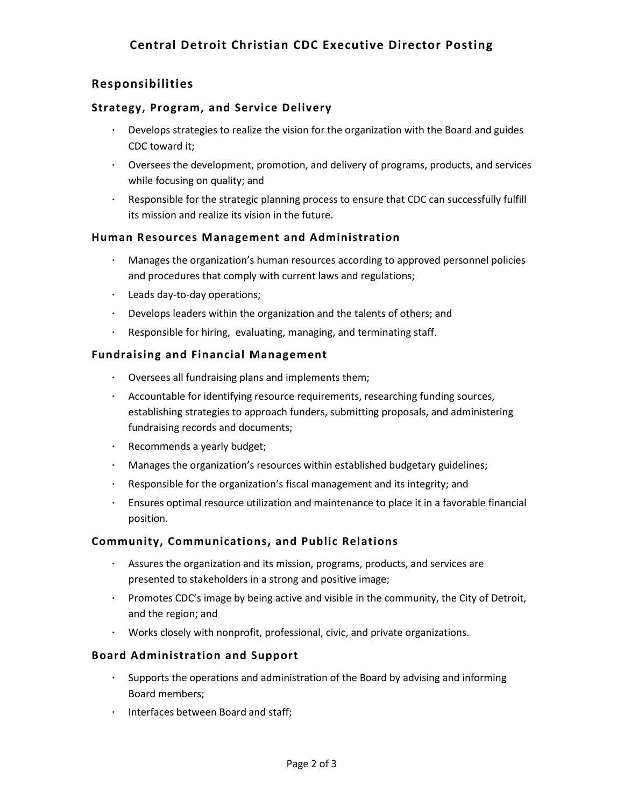# **Responsibilities**

### **Strategy, Program, and Service Delivery**

- ∙ Develops strategies to realize the vision for the organization with the Board and guides CDC toward it;
- ∙ Oversees the development, promotion, and delivery of programs, products, and services while focusing on quality; and
- ∙ Responsible for the strategic planning process to ensure that CDC can successfully fulfill its mission and realize its vision in the future.

#### **Human Resources Management and Administration**

- ∙ Manages the organization's human resources according to approved personnel policies and procedures that comply with current laws and regulations;
- ∙ Leads day-to-day operations;
- ∙ Develops leaders within the organization and the talents of others; and
- ∙ Responsible for hiring, evaluating, managing, and terminating staff.

### **Fundraising and Financial Management**

- ∙ Oversees all fundraising plans and implements them;
- ∙ Accountable for identifying resource requirements, researching funding sources, establishing strategies to approach funders, submitting proposals, and administering fundraising records and documents;
- ∙ Recommends a yearly budget;
- ∙ Manages the organization's resources within established budgetary guidelines;
- ∙ Responsible for the organization's fiscal management and its integrity; and
- ∙ Ensures optimal resource utilization and maintenance to place it in a favorable financial position.

## **Community, Communications, and Public Relations**

- ∙ Assures the organization and its mission, programs, products, and services are presented to stakeholders in a strong and positive image;
- ∙ Promotes CDC's image by being active and visible in the community, the City of Detroit, and the region; and
- ∙ Works closely with nonprofit, professional, civic, and private organizations.

## **Board Administration and Support**

- ∙ Supports the operations and administration of the Board by advising and informing Board members;
- ∙ Interfaces between Board and staff;